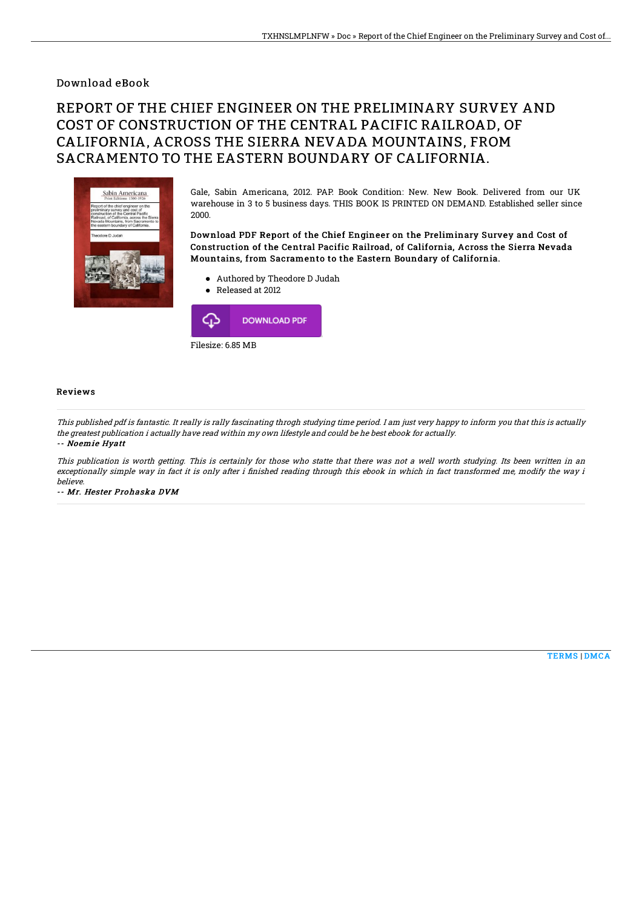## Download eBook

# REPORT OF THE CHIEF ENGINEER ON THE PRELIMINARY SURVEY AND COST OF CONSTRUCTION OF THE CENTRAL PACIFIC RAILROAD, OF CALIFORNIA, ACROSS THE SIERRA NEVADA MOUNTAINS, FROM SACRAMENTO TO THE EASTERN BOUNDARY OF CALIFORNIA.



Gale, Sabin Americana, 2012. PAP. Book Condition: New. New Book. Delivered from our UK warehouse in 3 to 5 business days. THIS BOOK IS PRINTED ON DEMAND. Established seller since 2000.

### Download PDF Report of the Chief Engineer on the Preliminary Survey and Cost of Construction of the Central Pacific Railroad, of California, Across the Sierra Nevada Mountains, from Sacramento to the Eastern Boundary of California.

- Authored by Theodore D Judah
- Released at 2012 د، **DOWNLOAD PDF**

Filesize: 6.85 MB

#### Reviews

This published pdf is fantastic. It really is rally fascinating throgh studying time period. I am just very happy to inform you that this is actually the greatest publication i actually have read within my own lifestyle and could be he best ebook for actually. -- Noemie Hyatt

This publication is worth getting. This is certainly for those who statte that there was not <sup>a</sup> well worth studying. Its been written in an exceptionally simple way in fact it is only after i finished reading through this ebook in which in fact transformed me, modify the way i believe.

-- Mr. Hester Prohaska DVM